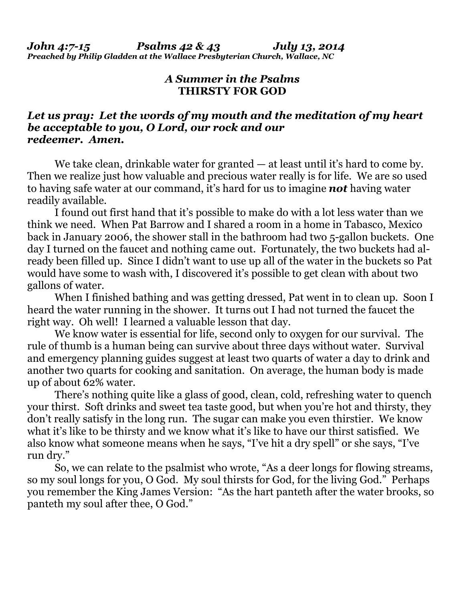## *A Summer in the Psalms* **THIRSTY FOR GOD**

## *Let us pray: Let the words of my mouth and the meditation of my heart be acceptable to you, O Lord, our rock and our redeemer. Amen.*

We take clean, drinkable water for granted — at least until it's hard to come by. Then we realize just how valuable and precious water really is for life. We are so used to having safe water at our command, it's hard for us to imagine *not* having water readily available.

 I found out first hand that it's possible to make do with a lot less water than we think we need. When Pat Barrow and I shared a room in a home in Tabasco, Mexico back in January 2006, the shower stall in the bathroom had two 5-gallon buckets. One day I turned on the faucet and nothing came out. Fortunately, the two buckets had already been filled up. Since I didn't want to use up all of the water in the buckets so Pat would have some to wash with, I discovered it's possible to get clean with about two gallons of water.

 When I finished bathing and was getting dressed, Pat went in to clean up. Soon I heard the water running in the shower. It turns out I had not turned the faucet the right way. Oh well! I learned a valuable lesson that day.

 We know water is essential for life, second only to oxygen for our survival. The rule of thumb is a human being can survive about three days without water. Survival and emergency planning guides suggest at least two quarts of water a day to drink and another two quarts for cooking and sanitation. On average, the human body is made up of about 62% water.

 There's nothing quite like a glass of good, clean, cold, refreshing water to quench your thirst. Soft drinks and sweet tea taste good, but when you're hot and thirsty, they don't really satisfy in the long run. The sugar can make you even thirstier. We know what it's like to be thirsty and we know what it's like to have our thirst satisfied. We also know what someone means when he says, "I've hit a dry spell" or she says, "I've run dry."

 So, we can relate to the psalmist who wrote, "As a deer longs for flowing streams, so my soul longs for you, O God. My soul thirsts for God, for the living God." Perhaps you remember the King James Version: "As the hart panteth after the water brooks, so panteth my soul after thee, O God."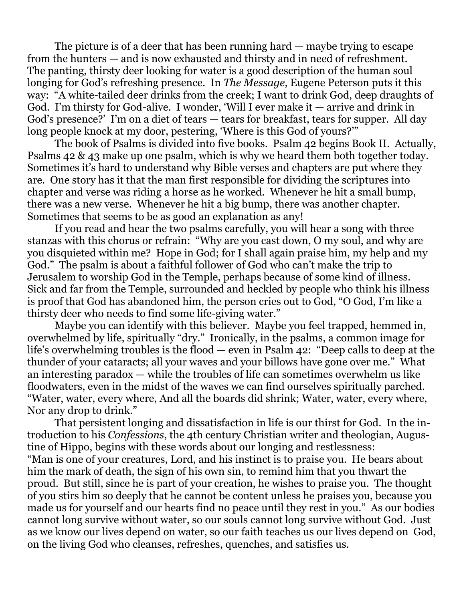The picture is of a deer that has been running hard — maybe trying to escape from the hunters — and is now exhausted and thirsty and in need of refreshment. The panting, thirsty deer looking for water is a good description of the human soul longing for God's refreshing presence. In *The Message*, Eugene Peterson puts it this way: "A white-tailed deer drinks from the creek; I want to drink God, deep draughts of God. I'm thirsty for God-alive. I wonder, 'Will I ever make it — arrive and drink in God's presence?' I'm on a diet of tears — tears for breakfast, tears for supper. All day long people knock at my door, pestering, 'Where is this God of yours?'"

 The book of Psalms is divided into five books. Psalm 42 begins Book II. Actually, Psalms 42 & 43 make up one psalm, which is why we heard them both together today. Sometimes it's hard to understand why Bible verses and chapters are put where they are. One story has it that the man first responsible for dividing the scriptures into chapter and verse was riding a horse as he worked. Whenever he hit a small bump, there was a new verse. Whenever he hit a big bump, there was another chapter. Sometimes that seems to be as good an explanation as any!

 If you read and hear the two psalms carefully, you will hear a song with three stanzas with this chorus or refrain: "Why are you cast down, O my soul, and why are you disquieted within me? Hope in God; for I shall again praise him, my help and my God." The psalm is about a faithful follower of God who can't make the trip to Jerusalem to worship God in the Temple, perhaps because of some kind of illness. Sick and far from the Temple, surrounded and heckled by people who think his illness is proof that God has abandoned him, the person cries out to God, "O God, I'm like a thirsty deer who needs to find some life-giving water."

 Maybe you can identify with this believer. Maybe you feel trapped, hemmed in, overwhelmed by life, spiritually "dry." Ironically, in the psalms, a common image for life's overwhelming troubles is the flood — even in Psalm 42: "Deep calls to deep at the thunder of your cataracts; all your waves and your billows have gone over me." What an interesting paradox — while the troubles of life can sometimes overwhelm us like floodwaters, even in the midst of the waves we can find ourselves spiritually parched. "Water, water, every where, And all the boards did shrink; Water, water, every where, Nor any drop to drink."

That persistent longing and dissatisfaction in life is our thirst for God. In the introduction to his *Confessions*, the 4th century Christian writer and theologian, Augustine of Hippo, begins with these words about our longing and restlessness: "Man is one of your creatures, Lord, and his instinct is to praise you. He bears about him the mark of death, the sign of his own sin, to remind him that you thwart the proud. But still, since he is part of your creation, he wishes to praise you. The thought of you stirs him so deeply that he cannot be content unless he praises you, because you made us for yourself and our hearts find no peace until they rest in you." As our bodies cannot long survive without water, so our souls cannot long survive without God. Just as we know our lives depend on water, so our faith teaches us our lives depend on God, on the living God who cleanses, refreshes, quenches, and satisfies us.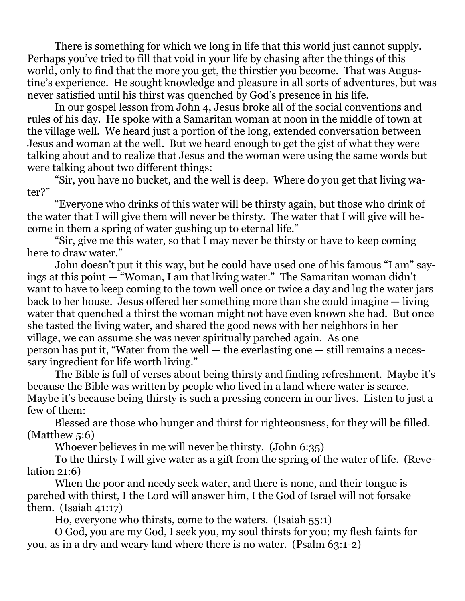There is something for which we long in life that this world just cannot supply. Perhaps you've tried to fill that void in your life by chasing after the things of this world, only to find that the more you get, the thirstier you become. That was Augustine's experience. He sought knowledge and pleasure in all sorts of adventures, but was never satisfied until his thirst was quenched by God's presence in his life.

 In our gospel lesson from John 4, Jesus broke all of the social conventions and rules of his day. He spoke with a Samaritan woman at noon in the middle of town at the village well. We heard just a portion of the long, extended conversation between Jesus and woman at the well. But we heard enough to get the gist of what they were talking about and to realize that Jesus and the woman were using the same words but were talking about two different things:

 "Sir, you have no bucket, and the well is deep. Where do you get that living water?"

 "Everyone who drinks of this water will be thirsty again, but those who drink of the water that I will give them will never be thirsty. The water that I will give will become in them a spring of water gushing up to eternal life."

 "Sir, give me this water, so that I may never be thirsty or have to keep coming here to draw water."

 John doesn't put it this way, but he could have used one of his famous "I am" sayings at this point — "Woman, I am that living water." The Samaritan woman didn't want to have to keep coming to the town well once or twice a day and lug the water jars back to her house. Jesus offered her something more than she could imagine — living water that quenched a thirst the woman might not have even known she had. But once she tasted the living water, and shared the good news with her neighbors in her village, we can assume she was never spiritually parched again. As one person has put it, "Water from the well — the everlasting one — still remains a necessary ingredient for life worth living."

The Bible is full of verses about being thirsty and finding refreshment. Maybe it's because the Bible was written by people who lived in a land where water is scarce. Maybe it's because being thirsty is such a pressing concern in our lives. Listen to just a few of them:

 Blessed are those who hunger and thirst for righteousness, for they will be filled. (Matthew 5:6)

Whoever believes in me will never be thirsty. (John 6:35)

 To the thirsty I will give water as a gift from the spring of the water of life. (Revelation 21:6)

When the poor and needy seek water, and there is none, and their tongue is parched with thirst, I the Lord will answer him, I the God of Israel will not forsake them. (Isaiah 41:17)

Ho, everyone who thirsts, come to the waters. (Isaiah 55:1)

 O God, you are my God, I seek you, my soul thirsts for you; my flesh faints for you, as in a dry and weary land where there is no water. (Psalm 63:1-2)